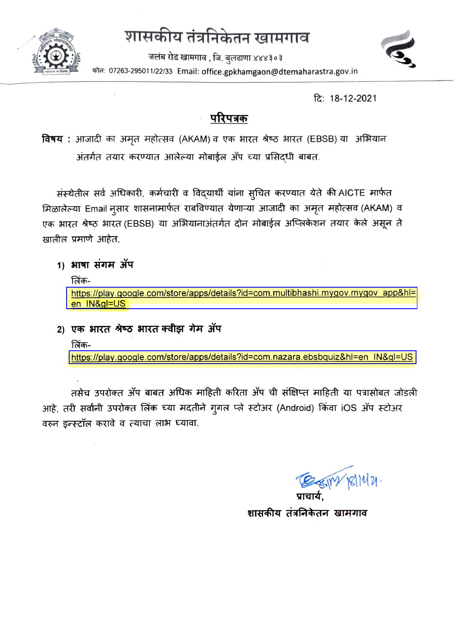# शासकीय तंत्रनिकेतन खामगाव



जलंब रोड खामगाव , जि. बुलढाणा ४४४३०३ फोन: 07263-295011/22/33 Email: office.gpkhamgaon@dtemaharastra.gov.in



दि: 18-12-2021

### परिपत्रक

विषय : आजादी का अमृत महोत्सव (AKAM) व एक भारत श्रेष्ठ भारत (EBSB) या अभियान अंतर्गत तयार करण्यात आलेल्या मोबाईल ॲप च्या प्रसिद्धी बाबत.

संस्थेतील सर्व अधिकारी, कर्मचारी व विद्यार्थी यांना सुचित करण्यात येते की AICTE मार्फत मिळालेल्या Email नुसार शासनामार्फत राबविण्यात येणाऱ्या आजादी का अमृत महोत्सव (AKAM) व एक भारत श्रेष्ठ भारत (EBSB) या अभियानाअंतर्गत दोन मोबाईल अप्लिकेशन तयार केले असून ते खालील प्रमाणे आहेत,

#### 1) भाषा संगम ॲप

लिंक-

https://play.google.com/store/apps/details?id=com.multibhashi.mygov.mygov\_app&hl= en IN&gl=US

2) एक भारत श्रेष्ठ भारत क्वीझ गेम ॲप लिंकhttps://play.google.com/store/apps/details?id=com.nazara.ebsbquiz&hl=en\_IN&gl=US

तसेच उपरोक्त ॲप बाबत अधिक माहिती करिता ॲप ची संक्षिप्त माहिती या पत्रासोबत जोडली आहे, तरी सर्वांनी उपरोक्त लिंक च्या मदतीने गुगल प्ले स्टोअर (Android) किंवा iOS ॲप स्टोअर वरुन इन्स्टॉल करावे व त्याचा लाभ घ्यावा.

शासकीय तंत्रनिकेतन खामगाव